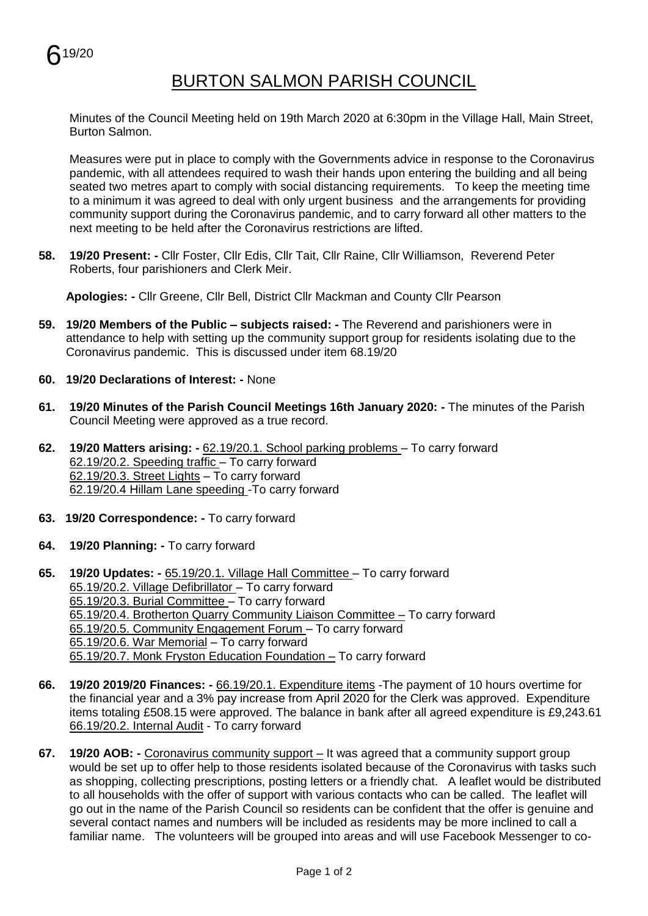

## BURTON SALMON PARISH COUNCIL

Minutes of the Council Meeting held on 19th March 2020 at 6:30pm in the Village Hall, Main Street, Burton Salmon.

Measures were put in place to comply with the Governments advice in response to the Coronavirus pandemic, with all attendees required to wash their hands upon entering the building and all being seated two metres apart to comply with social distancing requirements. To keep the meeting time to a minimum it was agreed to deal with only urgent business and the arrangements for providing community support during the Coronavirus pandemic, and to carry forward all other matters to the next meeting to be held after the Coronavirus restrictions are lifted.

**58. 19/20 Present: -** Cllr Foster, Cllr Edis, Cllr Tait, Cllr Raine, Cllr Williamson, Reverend Peter Roberts, four parishioners and Clerk Meir.

**Apologies: -** Cllr Greene, Cllr Bell, District Cllr Mackman and County Cllr Pearson

- **59. 19/20 Members of the Public – subjects raised: -** The Reverend and parishioners were in attendance to help with setting up the community support group for residents isolating due to the Coronavirus pandemic. This is discussed under item 68.19/20
- **60. 19/20 Declarations of Interest: -** None
- **61. 19/20 Minutes of the Parish Council Meetings 16th January 2020: -** The minutes of the Parish Council Meeting were approved as a true record.
- **62. 19/20 Matters arising: -** 62.19/20.1. School parking problems To carry forward 62.19/20.2. Speeding traffic – To carry forward 62.19/20.3. Street Lights – To carry forward 62.19/20.4 Hillam Lane speeding -To carry forward
- **63. 19/20 Correspondence: -** To carry forward
- **64. 19/20 Planning: -** To carry forward
- **65. 19/20 Updates: -** 65.19/20.1. Village Hall Committee To carry forward 65.19/20.2. Village Defibrillator – To carry forward 65.19/20.3. Burial Committee – To carry forward 65.19/20.4. Brotherton Quarry Community Liaison Committee – To carry forward 65.19/20.5. Community Engagement Forum – To carry forward 65.19/20.6. War Memorial – To carry forward 65.19/20.7. Monk Fryston Education Foundation – To carry forward
- **66. 19/20 2019/20 Finances: -** 66.19/20.1. Expenditure items -The payment of 10 hours overtime for the financial year and a 3% pay increase from April 2020 for the Clerk was approved. Expenditure items totaling £508.15 were approved. The balance in bank after all agreed expenditure is £9,243.61 66.19/20.2. Internal Audit - To carry forward
- **67. 19/20 AOB: -** Coronavirus community support It was agreed that a community support group would be set up to offer help to those residents isolated because of the Coronavirus with tasks such as shopping, collecting prescriptions, posting letters or a friendly chat. A leaflet would be distributed to all households with the offer of support with various contacts who can be called. The leaflet will go out in the name of the Parish Council so residents can be confident that the offer is genuine and several contact names and numbers will be included as residents may be more inclined to call a familiar name. The volunteers will be grouped into areas and will use Facebook Messenger to co-